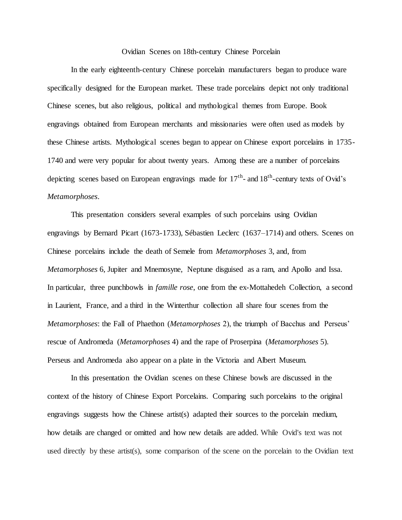## Ovidian Scenes on 18th-century Chinese Porcelain

In the early eighteenth-century Chinese porcelain manufacturers began to produce ware specifically designed for the European market. These trade porcelains depict not only traditional Chinese scenes, but also religious, political and mythological themes from Europe. Book engravings obtained from European merchants and missionaries were often used as models by these Chinese artists. Mythological scenes began to appear on Chinese export porcelains in 1735- 1740 and were very popular for about twenty years. Among these are a number of porcelains depicting scenes based on European engravings made for  $17<sup>th</sup>$ - and  $18<sup>th</sup>$ -century texts of Ovid's *Metamorphoses*.

This presentation considers several examples of such porcelains using Ovidian engravings by Bernard Picart (1673-1733), Sébastien Leclerc (1637–1714) and others. Scenes on Chinese porcelains include the death of Semele from *Metamorphoses* 3, and, from *Metamorphoses* 6, Jupiter and Mnemosyne, Neptune disguised as a ram, and Apollo and Issa. In particular, three punchbowls in *famille rose*, one from the ex-Mottahedeh Collection, a second in Laurient, France, and a third in the Winterthur collection all share four scenes from the *Metamorphoses*: the Fall of Phaethon (*Metamorphoses* 2), the triumph of Bacchus and Perseus' rescue of Andromeda (*Metamorphoses* 4) and the rape of Proserpina (*Metamorphoses* 5). Perseus and Andromeda also appear on a plate in the Victoria and Albert Museum.

In this presentation the Ovidian scenes on these Chinese bowls are discussed in the context of the history of Chinese Export Porcelains. Comparing such porcelains to the original engravings suggests how the Chinese artist(s) adapted their sources to the porcelain medium, how details are changed or omitted and how new details are added. While Ovid's text was not used directly by these artist(s), some comparison of the scene on the porcelain to the Ovidian text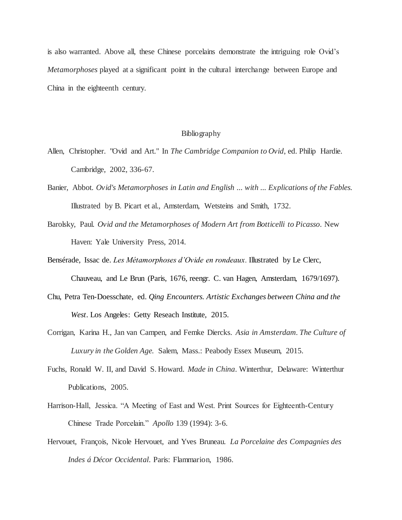is also warranted. Above all, these Chinese porcelains demonstrate the intriguing role Ovid's *Metamorphoses* played at a significant point in the cultural interchange between Europe and China in the eighteenth century.

## Bibliography

- Allen, Christopher. "Ovid and Art." In *The Cambridge Companion to Ovid*, ed. Philip Hardie. Cambridge, 2002, 336-67.
- Banier, Abbot. *Ovid's Metamorphoses in Latin and English ... with ... Explications of the Fables.*  Illustrated by B. Picart et al., Amsterdam, Wetsteins and Smith, 1732.
- Barolsky, Paul. *Ovid and the Metamorphoses of Modern Art from Botticelli to Picasso*. New Haven: Yale University Press, 2014.
- Bensérade, Issac de. *Les Métamorphoses d'Ovide en rondeaux.* Illustrated by Le Clerc,

Chauveau, and Le Brun (Paris, 1676, reengr. C. van Hagen, Amsterdam, 1679/1697).

- Chu, Petra Ten-Doesschate, ed. *Qing Encounters. Artistic Exchanges between China and the West*. Los Angeles: Getty Reseach Institute, 2015.
- Corrigan, Karina H., Jan van Campen, and Femke Diercks. *Asia in Amsterdam. The Culture of Luxury in the Golden Age.* Salem, Mass.: Peabody Essex Museum, 2015.
- Fuchs, Ronald W. II, and David S. Howard. *Made in China*. Winterthur, Delaware: Winterthur Publications, 2005.
- Harrison-Hall, Jessica. "A Meeting of East and West. Print Sources for Eighteenth-Century Chinese Trade Porcelain." *Apollo* 139 (1994): 3-6.
- Hervouet, François, Nicole Hervouet, and Yves Bruneau. *La Porcelaine des Compagnies des Indes á Décor Occidental*. Paris: Flammarion, 1986.